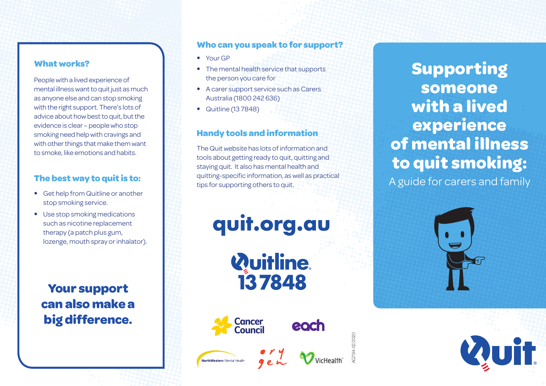#### **What works?**

People with a lived experience of mental illness want to quit just as much as anyone else and can stop smoking with the right support. There's lots of advice about how best to quit, but the evidence is clear – people who stop smoking need help with cravings and with other things that make them want to smoke, like emotions and habits.

#### **The best way to quit is to:**

- Get help from Quitline or another stop smoking service.
- Use stop smoking medications such as nicotine replacement therapy (a patch plus gum, lozenge, mouth spray or inhalator).

**Your support can also make a big difference.**

#### **Who can you speak to for support?**

- Your GP
- The mental health service that supports the person you care for
- A carer support service such as Carers Australia (1800 242 636)
- Quitline (13 7848)

#### **Handy tools and information**

The Quit website has lots of information and tools about getting ready to quit, quitting and staying quit. It also has mental health and quitting-specific information, as well as practical tips for supporting others to quit.

quit.org.au

*Quitline* 137848



NorthWestern Mental Health



AQ794-02/2020

**Supporting someone with a lived experience of mental illness to quit smoking:** A guide for carers and family